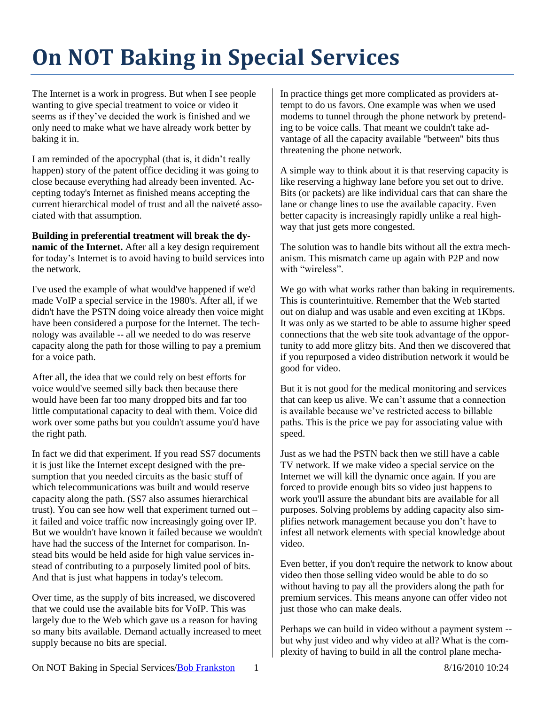## **On NOT Baking in Special Services**

The Internet is a work in progress. But when I see people wanting to give special treatment to voice or video it seems as if they've decided the work is finished and we only need to make what we have already work better by baking it in.

I am reminded of the apocryphal (that is, it didn't really happen) story of the patent office deciding it was going to close because everything had already been invented. Accepting today's Internet as finished means accepting the current hierarchical model of trust and all the naiveté associated with that assumption.

**Building in preferential treatment will break the dynamic of the Internet.** After all a key design requirement for today's Internet is to avoid having to build services into the network.

I've used the example of what would've happened if we'd made VoIP a special service in the 1980's. After all, if we didn't have the PSTN doing voice already then voice might have been considered a purpose for the Internet. The technology was available -- all we needed to do was reserve capacity along the path for those willing to pay a premium for a voice path.

After all, the idea that we could rely on best efforts for voice would've seemed silly back then because there would have been far too many dropped bits and far too little computational capacity to deal with them. Voice did work over some paths but you couldn't assume you'd have the right path.

In fact we did that experiment. If you read SS7 documents it is just like the Internet except designed with the presumption that you needed circuits as the basic stuff of which telecommunications was built and would reserve capacity along the path. (SS7 also assumes hierarchical trust). You can see how well that experiment turned out – it failed and voice traffic now increasingly going over IP. But we wouldn't have known it failed because we wouldn't have had the success of the Internet for comparison. Instead bits would be held aside for high value services instead of contributing to a purposely limited pool of bits. And that is just what happens in today's telecom.

Over time, as the supply of bits increased, we discovered that we could use the available bits for VoIP. This was largely due to the Web which gave us a reason for having so many bits available. Demand actually increased to meet supply because no bits are special.

In practice things get more complicated as providers attempt to do us favors. One example was when we used modems to tunnel through the phone network by pretending to be voice calls. That meant we couldn't take advantage of all the capacity available "between" bits thus threatening the phone network.

A simple way to think about it is that reserving capacity is like reserving a highway lane before you set out to drive. Bits (or packets) are like individual cars that can share the lane or change lines to use the available capacity. Even better capacity is increasingly rapidly unlike a real highway that just gets more congested.

The solution was to handle bits without all the extra mechanism. This mismatch came up again with P2P and now with "wireless".

We go with what works rather than baking in requirements. This is counterintuitive. Remember that the Web started out on dialup and was usable and even exciting at 1Kbps. It was only as we started to be able to assume higher speed connections that the web site took advantage of the opportunity to add more glitzy bits. And then we discovered that if you repurposed a video distribution network it would be good for video.

But it is not good for the medical monitoring and services that can keep us alive. We can't assume that a connection is available because we've restricted access to billable paths. This is the price we pay for associating value with speed.

Just as we had the PSTN back then we still have a cable TV network. If we make video a special service on the Internet we will kill the dynamic once again. If you are forced to provide enough bits so video just happens to work you'll assure the abundant bits are available for all purposes. Solving problems by adding capacity also simplifies network management because you don't have to infest all network elements with special knowledge about video.

Even better, if you don't require the network to know about video then those selling video would be able to do so without having to pay all the providers along the path for premium services. This means anyone can offer video not just those who can make deals.

Perhaps we can build in video without a payment system - but why just video and why video at all? What is the complexity of having to build in all the control plane mecha